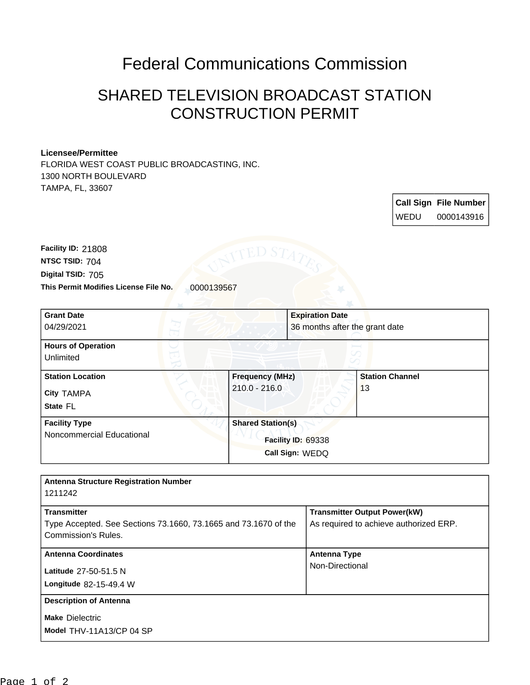## Federal Communications Commission

## SHARED TELEVISION BROADCAST STATION CONSTRUCTION PERMIT

## **Licensee/Permittee**

FLORIDA WEST COAST PUBLIC BROADCASTING, INC. 1300 NORTH BOULEVARD TAMPA, FL, 33607

> **Call Sign File Number** WEDU 0000143916

This Permit Modifies License File No. 0000139567 **Digital TSID:** 705 **NTSC TSID:** 704 **Facility ID:** 21808

| <b>Grant Date</b><br>04/29/2021                          | <b>Expiration Date</b>                                            | 36 months after the grant date |  |
|----------------------------------------------------------|-------------------------------------------------------------------|--------------------------------|--|
| <b>Hours of Operation</b><br>Unlimited                   |                                                                   |                                |  |
| <b>Station Location</b><br><b>City TAMPA</b><br>State FL | <b>Frequency (MHz)</b><br>$210.0 - 216.0$                         | <b>Station Channel</b><br>13   |  |
| <b>Facility Type</b><br>Noncommercial Educational        | <b>Shared Station(s)</b><br>Facility ID: 69338<br>Call Sign: WEDQ |                                |  |

| <b>Antenna Structure Registration Number</b>                                                                        |                                                                               |  |
|---------------------------------------------------------------------------------------------------------------------|-------------------------------------------------------------------------------|--|
| 1211242                                                                                                             |                                                                               |  |
| <b>Transmitter</b><br>Type Accepted. See Sections 73.1660, 73.1665 and 73.1670 of the<br><b>Commission's Rules.</b> | <b>Transmitter Output Power(kW)</b><br>As required to achieve authorized ERP. |  |
| <b>Antenna Coordinates</b>                                                                                          | <b>Antenna Type</b><br>Non-Directional                                        |  |
| Latitude 27-50-51.5 N<br><b>Longitude 82-15-49.4 W</b>                                                              |                                                                               |  |
| <b>Description of Antenna</b>                                                                                       |                                                                               |  |
| <b>Make Dielectric</b><br>Model THV-11A13/CP 04 SP                                                                  |                                                                               |  |
|                                                                                                                     |                                                                               |  |